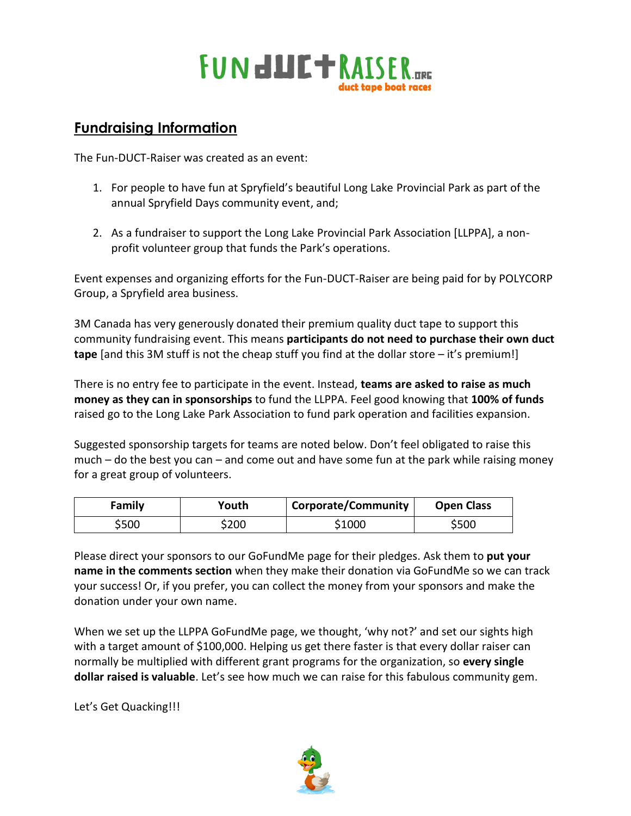# **FUN<del>dUCT</del>RAISER**

# **Fundraising Information**

The Fun-DUCT-Raiser was created as an event:

- 1. For people to have fun at Spryfield's beautiful Long Lake Provincial Park as part of the annual Spryfield Days community event, and;
- 2. As a fundraiser to support the Long Lake Provincial Park Association [LLPPA], a nonprofit volunteer group that funds the Park's operations.

Event expenses and organizing efforts for the Fun-DUCT-Raiser are being paid for by POLYCORP Group, a Spryfield area business.

3M Canada has very generously donated their premium quality duct tape to support this community fundraising event. This means **participants do not need to purchase their own duct tape** [and this 3M stuff is not the cheap stuff you find at the dollar store – it's premium!]

There is no entry fee to participate in the event. Instead, **teams are asked to raise as much money as they can in sponsorships** to fund the LLPPA. Feel good knowing that **100% of funds** raised go to the Long Lake Park Association to fund park operation and facilities expansion.

Suggested sponsorship targets for teams are noted below. Don't feel obligated to raise this much – do the best you can – and come out and have some fun at the park while raising money for a great group of volunteers.

| Family | Youth | <b>Corporate/Community</b> | <b>Open Class</b> |
|--------|-------|----------------------------|-------------------|
| \$500  | \$200 | \$1000                     | 5500              |

Please direct your sponsors to our GoFundMe page for their pledges. Ask them to **put your name in the comments section** when they make their donation via GoFundMe so we can track your success! Or, if you prefer, you can collect the money from your sponsors and make the donation under your own name.

When we set up the LLPPA GoFundMe page, we thought, 'why not?' and set our sights high with a target amount of \$100,000. Helping us get there faster is that every dollar raiser can normally be multiplied with different grant programs for the organization, so **every single dollar raised is valuable**. Let's see how much we can raise for this fabulous community gem.

Let's Get Quacking!!!

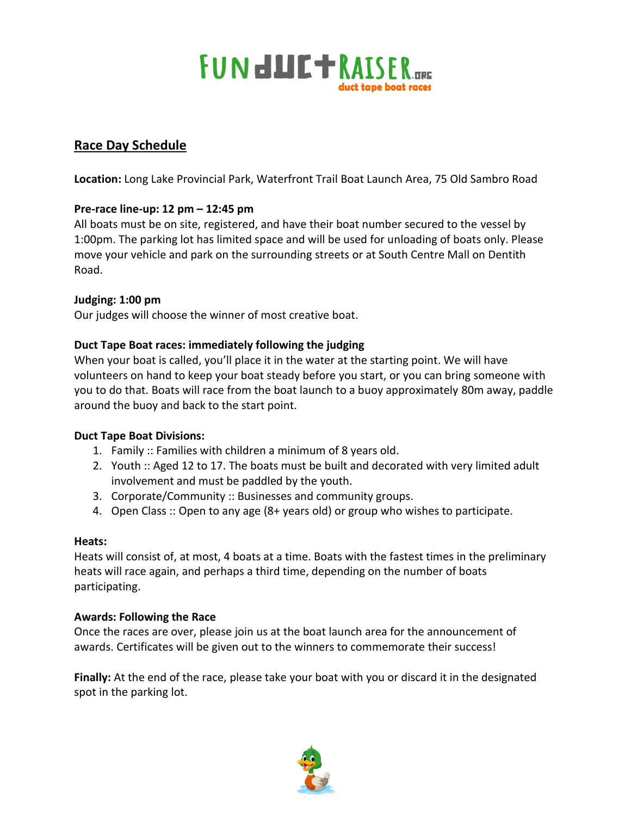

## **Race Day Schedule**

**Location:** Long Lake Provincial Park, Waterfront Trail Boat Launch Area, 75 Old Sambro Road

#### **Pre-race line-up: 12 pm – 12:45 pm**

All boats must be on site, registered, and have their boat number secured to the vessel by 1:00pm. The parking lot has limited space and will be used for unloading of boats only. Please move your vehicle and park on the surrounding streets or at South Centre Mall on Dentith Road.

#### **Judging: 1:00 pm**

Our judges will choose the winner of most creative boat.

#### **Duct Tape Boat races: immediately following the judging**

When your boat is called, you'll place it in the water at the starting point. We will have volunteers on hand to keep your boat steady before you start, or you can bring someone with you to do that. Boats will race from the boat launch to a buoy approximately 80m away, paddle around the buoy and back to the start point.

#### **Duct Tape Boat Divisions:**

- 1. Family :: Families with children a minimum of 8 years old.
- 2. Youth :: Aged 12 to 17. The boats must be built and decorated with very limited adult involvement and must be paddled by the youth.
- 3. Corporate/Community :: Businesses and community groups.
- 4. Open Class :: Open to any age (8+ years old) or group who wishes to participate.

#### **Heats:**

Heats will consist of, at most, 4 boats at a time. Boats with the fastest times in the preliminary heats will race again, and perhaps a third time, depending on the number of boats participating.

#### **Awards: Following the Race**

Once the races are over, please join us at the boat launch area for the announcement of awards. Certificates will be given out to the winners to commemorate their success!

**Finally:** At the end of the race, please take your boat with you or discard it in the designated spot in the parking lot.

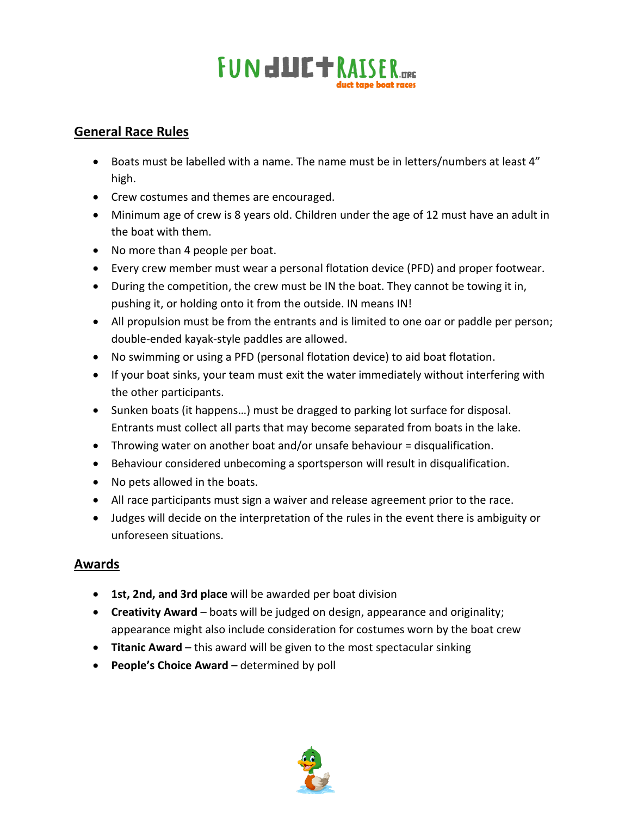

# **General Race Rules**

- Boats must be labelled with a name. The name must be in letters/numbers at least 4" high.
- Crew costumes and themes are encouraged.
- Minimum age of crew is 8 years old. Children under the age of 12 must have an adult in the boat with them.
- No more than 4 people per boat.
- Every crew member must wear a personal flotation device (PFD) and proper footwear.
- During the competition, the crew must be IN the boat. They cannot be towing it in, pushing it, or holding onto it from the outside. IN means IN!
- All propulsion must be from the entrants and is limited to one oar or paddle per person; double-ended kayak-style paddles are allowed.
- No swimming or using a PFD (personal flotation device) to aid boat flotation.
- If your boat sinks, your team must exit the water immediately without interfering with the other participants.
- Sunken boats (it happens…) must be dragged to parking lot surface for disposal. Entrants must collect all parts that may become separated from boats in the lake.
- Throwing water on another boat and/or unsafe behaviour = disqualification.
- Behaviour considered unbecoming a sportsperson will result in disqualification.
- No pets allowed in the boats.
- All race participants must sign a waiver and release agreement prior to the race.
- Judges will decide on the interpretation of the rules in the event there is ambiguity or unforeseen situations.

## **Awards**

- **1st, 2nd, and 3rd place** will be awarded per boat division
- **Creativity Award** boats will be judged on design, appearance and originality; appearance might also include consideration for costumes worn by the boat crew
- **Titanic Award** this award will be given to the most spectacular sinking
- **People's Choice Award**  determined by poll